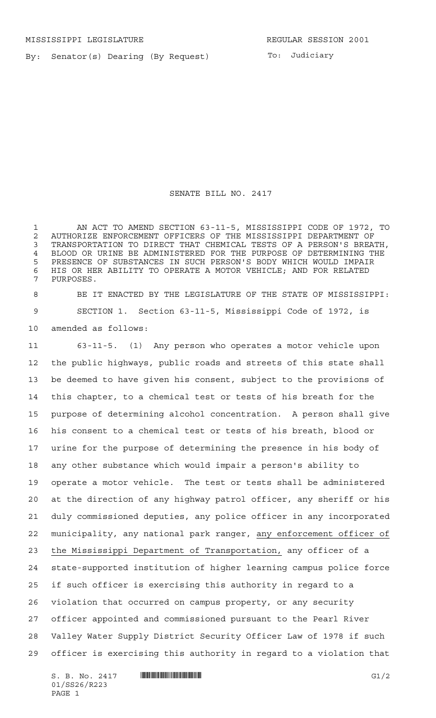By: Senator(s) Dearing (By Request)

To: Judiciary

SENATE BILL NO. 2417

 AN ACT TO AMEND SECTION 63-11-5, MISSISSIPPI CODE OF 1972, TO 2 AUTHORIZE ENFORCEMENT OFFICERS OF THE MISSISSIPPI DEPARTMENT OF<br>3 TRANSPORTATION TO DIRECT THAT CHEMICAL TESTS OF A PERSON'S BREA TRANSPORTATION TO DIRECT THAT CHEMICAL TESTS OF A PERSON'S BREATH, BLOOD OR URINE BE ADMINISTERED FOR THE PURPOSE OF DETERMINING THE PRESENCE OF SUBSTANCES IN SUCH PERSON'S BODY WHICH WOULD IMPAIR HIS OR HER ABILITY TO OPERATE A MOTOR VEHICLE; AND FOR RELATED PURPOSES.

 BE IT ENACTED BY THE LEGISLATURE OF THE STATE OF MISSISSIPPI: SECTION 1. Section 63-11-5, Mississippi Code of 1972, is amended as follows:

 63-11-5. (1) Any person who operates a motor vehicle upon the public highways, public roads and streets of this state shall be deemed to have given his consent, subject to the provisions of this chapter, to a chemical test or tests of his breath for the purpose of determining alcohol concentration. A person shall give his consent to a chemical test or tests of his breath, blood or urine for the purpose of determining the presence in his body of any other substance which would impair a person's ability to operate a motor vehicle. The test or tests shall be administered at the direction of any highway patrol officer, any sheriff or his duly commissioned deputies, any police officer in any incorporated municipality, any national park ranger, any enforcement officer of the Mississippi Department of Transportation, any officer of a state-supported institution of higher learning campus police force if such officer is exercising this authority in regard to a violation that occurred on campus property, or any security officer appointed and commissioned pursuant to the Pearl River Valley Water Supply District Security Officer Law of 1978 if such officer is exercising this authority in regard to a violation that

 $S. B. No. 2417$   $\qquad$   $\qquad$   $\qquad$   $\qquad$   $\qquad$   $\qquad$   $\qquad$   $\qquad$   $\qquad$   $\qquad$   $\qquad$   $\qquad$   $\qquad$   $\qquad$   $\qquad$   $\qquad$   $\qquad$   $\qquad$   $\qquad$   $\qquad$   $\qquad$   $\qquad$   $\qquad$   $\qquad$   $\qquad$   $\qquad$   $\qquad$   $\qquad$   $\qquad$   $\qquad$   $\qquad$   $\qquad$   $\qquad$   $\qquad$   $\q$ 01/SS26/R223 PAGE 1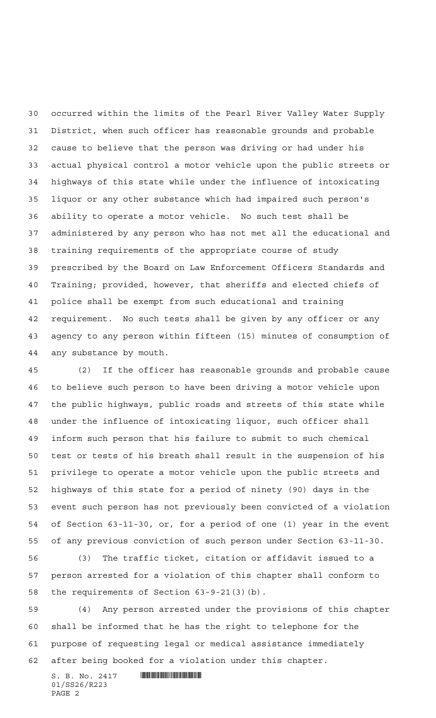occurred within the limits of the Pearl River Valley Water Supply District, when such officer has reasonable grounds and probable cause to believe that the person was driving or had under his actual physical control a motor vehicle upon the public streets or highways of this state while under the influence of intoxicating liquor or any other substance which had impaired such person's ability to operate a motor vehicle. No such test shall be administered by any person who has not met all the educational and training requirements of the appropriate course of study prescribed by the Board on Law Enforcement Officers Standards and Training; provided, however, that sheriffs and elected chiefs of police shall be exempt from such educational and training requirement. No such tests shall be given by any officer or any agency to any person within fifteen (15) minutes of consumption of any substance by mouth.

 (2) If the officer has reasonable grounds and probable cause to believe such person to have been driving a motor vehicle upon the public highways, public roads and streets of this state while under the influence of intoxicating liquor, such officer shall inform such person that his failure to submit to such chemical test or tests of his breath shall result in the suspension of his privilege to operate a motor vehicle upon the public streets and highways of this state for a period of ninety (90) days in the event such person has not previously been convicted of a violation of Section 63-11-30, or, for a period of one (1) year in the event of any previous conviction of such person under Section 63-11-30.

 (3) The traffic ticket, citation or affidavit issued to a person arrested for a violation of this chapter shall conform to the requirements of Section 63-9-21(3)(b).

 (4) Any person arrested under the provisions of this chapter shall be informed that he has the right to telephone for the purpose of requesting legal or medical assistance immediately after being booked for a violation under this chapter.

 $S. B. No. 2417$  . The set of  $\mathbb{Z}$  of  $\mathbb{Z}$  and  $\mathbb{Z}$  and  $\mathbb{Z}$  and  $\mathbb{Z}$  and  $\mathbb{Z}$  and  $\mathbb{Z}$  and  $\mathbb{Z}$  and  $\mathbb{Z}$  and  $\mathbb{Z}$  and  $\mathbb{Z}$  and  $\mathbb{Z}$  and  $\mathbb{Z}$  and  $\mathbb{Z}$  and  $\mathbb{Z}$  and 01/SS26/R223 PAGE 2